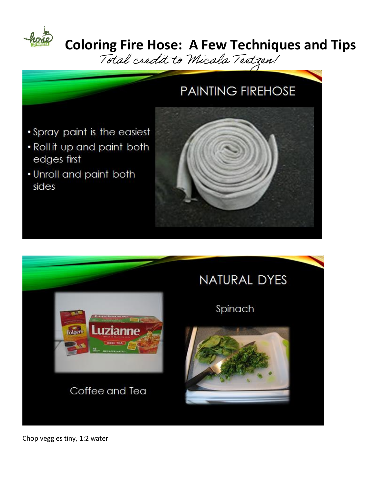

### **Coloring Fire Hose: A Few Techniques and Tips**

Total credit to Micala Textzen!

#### **PAINTING FIREHOSE**

- · Spray paint is the easiest
- . Roll it up and paint both edges first
- . Unroll and paint both sides





Chop veggies tiny, 1:2 water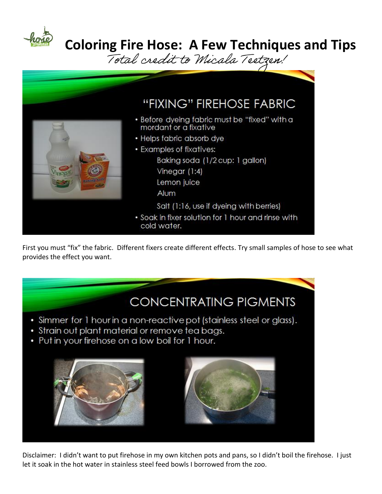

## **Coloring Fire Hose: A Few Techniques and Tips**<br>Total credit to Micala Tectren!



First you must "fix" the fabric. Different fixers create different effects. Try small samples of hose to see what provides the effect you want.

#### **CONCENTRATING PIGMENTS**

- Simmer for 1 hour in a non-reactive pot (stainless steel or glass).
- · Strain out plant material or remove tea bags.
- Put in your firehose on a low boil for 1 hour.



Disclaimer: I didn't want to put firehose in my own kitchen pots and pans, so I didn't boil the firehose. I just let it soak in the hot water in stainless steel feed bowls I borrowed from the zoo.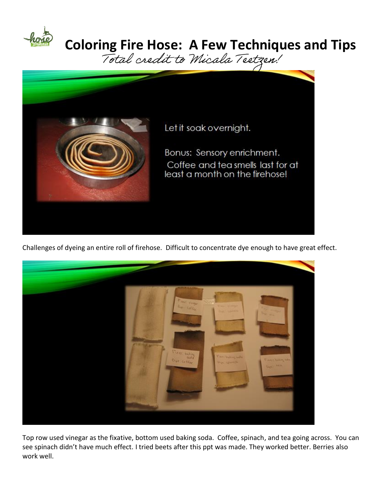

# **Coloring Fire Hose: A Few Techniques and Tips**<br>Total exedit to Micala Tectzen!



Challenges of dyeing an entire roll of firehose. Difficult to concentrate dye enough to have great effect.



Top row used vinegar as the fixative, bottom used baking soda. Coffee, spinach, and tea going across. You can see spinach didn't have much effect. I tried beets after this ppt was made. They worked better. Berries also work well.